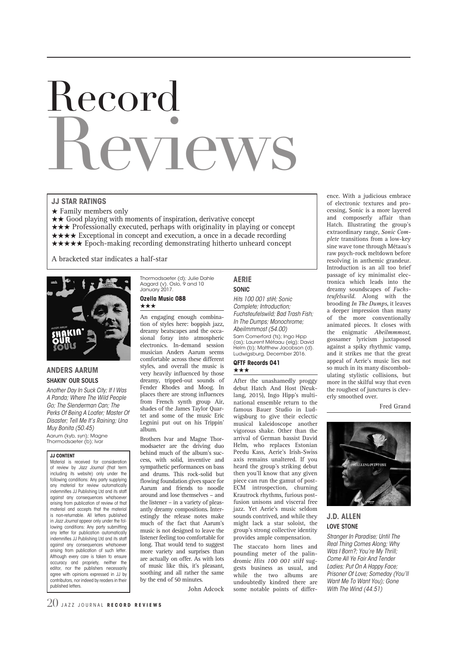# Record **PVI PW**

## **JJ STAR RATINGS**

- $\star$  Family members only
- $\star \star$  Good playing with moments of inspiration, derivative concept
- $\star \star \star$  Professionally executed, perhaps with originality in playing or concept
- $\star \star \star \star$  Exceptional in concept and execution, a once in a decade recording
- $\star \star \star \star$  Epoch-making recording demonstrating hitherto unheard concept

A bracketed star indicates a half-star



## **ANDERS AARUM** SHAKIN' OUR SOULS

*Another Day In Suck City; If I Was A Panda; Where The Wild People Go; The Slenderman Can; The Perks Of Being A Loafer; Master Of Disaster; Tell Me It's Raining; Una Muy Bonita (50.45)* Aarum (kyb, syn); Magne

Thormodsaeter (b); Ivar

## **JJ CONTENT**

Material is received for consideration of review by *Jazz Journal* (that term including its website) only under the following conditions: Any party supplying any material for review automatically indemnifies JJ Publishing Ltd and its staff against any consequences whatsoever arising from publication of review of that material and accepts that the material is non-returnable. All letters published in *Jazz Journal* appear only under the following conditions: Any party submitting any letter for publication automatically indemnifies JJ Publishing Ltd and its staff against any consequences whatsoever arising from publication of such letter. Although every care is taken to ensure accuracy and propriety, neither the editor, nor the publishers necessarily agree with opinions expressed in JJ by contributors, nor indeed by readers in their published letters.

Thormodsaeter (d); Julie Dahle Aagard (v). Oslo, 9 and 10 January 2017. **Ozella Music 088**

## \*\*\*

An engaging enough combination of styles here: boppish jazz, dreamy beatscapes and the occasional foray into atmospheric electronics. In-demand session musician Anders Aarum seems comfortable across these different styles, and overall the music is very heavily influenced by those dreamy, tripped-out sounds of Fender Rhodes and Moog. In places there are strong influences from French synth group Air, shades of the James Taylor Quartet and some of the music Eric Legnini put out on his Trippin' album.

Brothers Ivar and Magne Thormodsaeter are the driving duo behind much of the album's success, with solid, inventive and sympathetic performances on bass and drums. This rock-solid but flowing foundation gives space for Aarum and friends to noodle around and lose themselves – and the listener – in a variety of pleasantly dreamy compositions. Interestingly the release notes make much of the fact that Aarum's music is not designed to leave the listener feeling too comfortable for long. That would tend to suggest more variety and surprises than are actually on offer. As with lots of music like this, it's pleasant, soothing and all rather the same by the end of 50 minutes.

John Adcock

**AERIE** SONIC

*Hits 100 001 stiH; Sonic Complete; Introduction; Fuchsteufelswild; Bad Trash Fish; In The Dumps; Monochrome; Abeilmmmost (54.00)* Sam Comerford (ts); Ingo Hipp (as); Laurent Métaau (elg); David Helm (b); Matthew Jacobson (d). Ludwigsburg, December 2016.

#### **QFTF Records 041** \*\*\*

After the unashamedly proggy debut Hatch And Host (Neuklang, 2015), Ingo Hipp's multinational ensemble return to the famous Bauer Studio in Ludwigsburg to give their eclectic musical kaleidoscope another vigorous shake. Other than the arrival of German bassist David Helm, who replaces Estonian Peedu Kass, Aerie's Irish-Swiss axis remains unaltered. If you heard the group's striking debut then you'll know that any given piece can run the gamut of post-ECM introspection, churning Krautrock rhythms, furious postfusion unisons and visceral free jazz. Yet Aerie's music seldom sounds contrived, and while they might lack a star soloist, the group's strong collective identity provides ample compensation.

The staccato horn lines and pounding meter of the palindromic *Hits 100 001 stiH* suggests business as usual, and while the two albums are undoubtedly kindred there are some notable points of difference. With a judicious embrace of electronic textures and processing, Sonic is a more layered and composerly affair than Hatch. Illustrating the group's extraordinary range, *Sonic Complete* transitions from a low-key sine wave tone through Métaau's raw psych-rock meltdown before resolving in anthemic grandeur. Introduction is an all too brief passage of icy minimalist electronica which leads into the dreamy soundscapes of *Fuchsteufelswild*. Along with the brooding *In The Dumps*, it leaves a deeper impression than many of the more conventionally animated pieces. It closes with the enigmatic *Abeilmmmost*, gossamer lyricism juxtaposed against a spiky rhythmic vamp, and it strikes me that the great appeal of Aerie's music lies not so much in its many discombobulating stylistic collisions, but more in the skilful way that even the roughest of junctures is cleverly smoothed over.

Fred Grand



# **J.D. ALLEN** LOVE STONE

*Stranger In Paradise; Until The Real Thing Comes Along; Why Was I Born?; You're My Thrill; Come All Ye Fair And Tender Ladies; Put On A Happy Face; Prisoner Of Love; Someday (You'll Want Me To Want You); Gone With The Wind (44.51)*